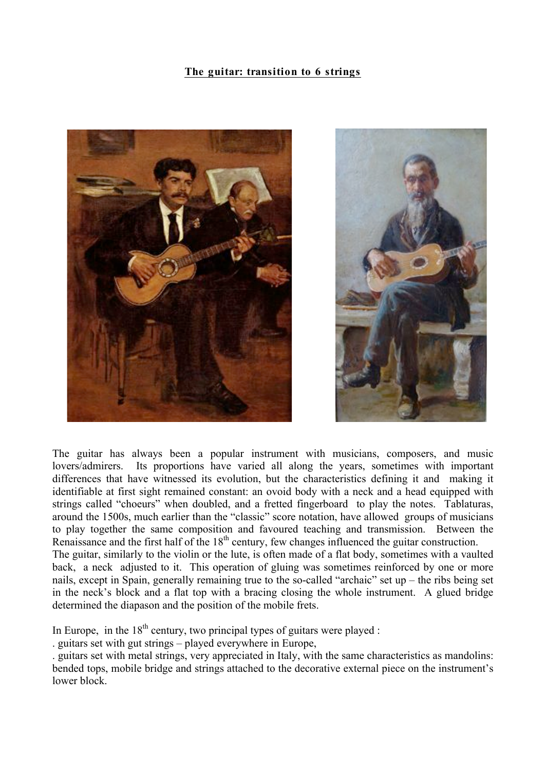## **The guitar: transition to 6 strings**



The guitar has always been a popular instrument with musicians, composers, and music lovers/admirers. Its proportions have varied all along the years, sometimes with important differences that have witnessed its evolution, but the characteristics defining it and making it identifiable at first sight remained constant: an ovoid body with a neck and a head equipped with strings called "choeurs" when doubled, and a fretted fingerboard to play the notes. Tablaturas, around the 1500s, much earlier than the "classic" score notation, have allowed groups of musicians to play together the same composition and favoured teaching and transmission. Between the Renaissance and the first half of the  $18<sup>th</sup>$  century, few changes influenced the guitar construction. The guitar, similarly to the violin or the lute, is often made of a flat body, sometimes with a vaulted back, a neck adjusted to it. This operation of gluing was sometimes reinforced by one or more nails, except in Spain, generally remaining true to the so-called "archaic" set up – the ribs being set in the neck's block and a flat top with a bracing closing the whole instrument. A glued bridge determined the diapason and the position of the mobile frets.

In Europe, in the  $18<sup>th</sup>$  century, two principal types of guitars were played :

. guitars set with gut strings – played everywhere in Europe,

. guitars set with metal strings, very appreciated in Italy, with the same characteristics as mandolins: bended tops, mobile bridge and strings attached to the decorative external piece on the instrument's lower block.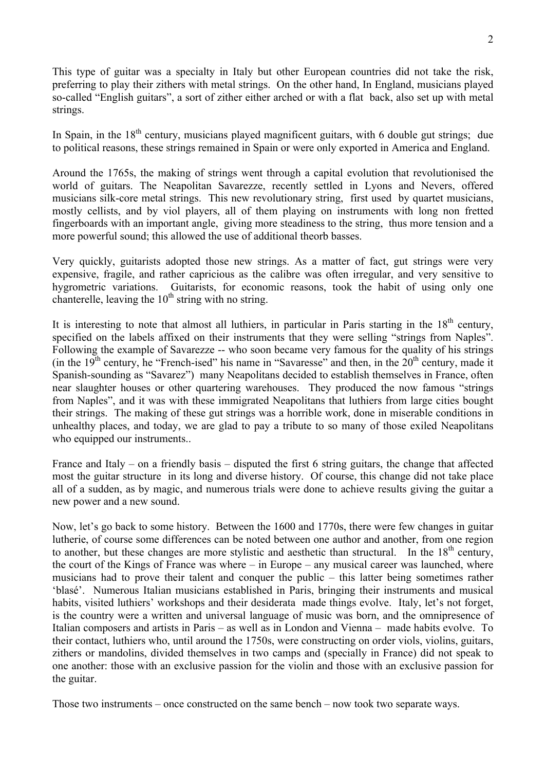This type of guitar was a specialty in Italy but other European countries did not take the risk, preferring to play their zithers with metal strings. On the other hand, In England, musicians played so-called "English guitars", a sort of zither either arched or with a flat back, also set up with metal strings.

In Spain, in the  $18<sup>th</sup>$  century, musicians played magnificent guitars, with 6 double gut strings; due to political reasons, these strings remained in Spain or were only exported in America and England.

Around the 1765s, the making of strings went through a capital evolution that revolutionised the world of guitars. The Neapolitan Savarezze, recently settled in Lyons and Nevers, offered musicians silk-core metal strings. This new revolutionary string, first used by quartet musicians, mostly cellists, and by viol players, all of them playing on instruments with long non fretted fingerboards with an important angle, giving more steadiness to the string, thus more tension and a more powerful sound; this allowed the use of additional theorb basses.

Very quickly, guitarists adopted those new strings. As a matter of fact, gut strings were very expensive, fragile, and rather capricious as the calibre was often irregular, and very sensitive to hygrometric variations. Guitarists, for economic reasons, took the habit of using only one chanterelle, leaving the  $10<sup>th</sup>$  string with no string.

It is interesting to note that almost all luthiers, in particular in Paris starting in the  $18<sup>th</sup>$  century, specified on the labels affixed on their instruments that they were selling "strings from Naples". Following the example of Savarezze -- who soon became very famous for the quality of his strings (in the  $19<sup>th</sup>$  century, he "French-ised" his name in "Savaresse" and then, in the  $20<sup>th</sup>$  century, made it Spanish-sounding as "Savarez") many Neapolitans decided to establish themselves in France, often near slaughter houses or other quartering warehouses. They produced the now famous "strings from Naples", and it was with these immigrated Neapolitans that luthiers from large cities bought their strings. The making of these gut strings was a horrible work, done in miserable conditions in unhealthy places, and today, we are glad to pay a tribute to so many of those exiled Neapolitans who equipped our instruments..

France and Italy – on a friendly basis – disputed the first 6 string guitars, the change that affected most the guitar structure in its long and diverse history. Of course, this change did not take place all of a sudden, as by magic, and numerous trials were done to achieve results giving the guitar a new power and a new sound.

Now, let's go back to some history. Between the 1600 and 1770s, there were few changes in guitar lutherie, of course some differences can be noted between one author and another, from one region to another, but these changes are more stylistic and aesthetic than structural. In the  $18<sup>th</sup>$  century, the court of the Kings of France was where – in Europe – any musical career was launched, where musicians had to prove their talent and conquer the public – this latter being sometimes rather 'blasé'. Numerous Italian musicians established in Paris, bringing their instruments and musical habits, visited luthiers' workshops and their desiderata made things evolve. Italy, let's not forget, is the country were a written and universal language of music was born, and the omnipresence of Italian composers and artists in Paris – as well as in London and Vienna – made habits evolve. To their contact, luthiers who, until around the 1750s, were constructing on order viols, violins, guitars, zithers or mandolins, divided themselves in two camps and (specially in France) did not speak to one another: those with an exclusive passion for the violin and those with an exclusive passion for the guitar.

Those two instruments – once constructed on the same bench – now took two separate ways.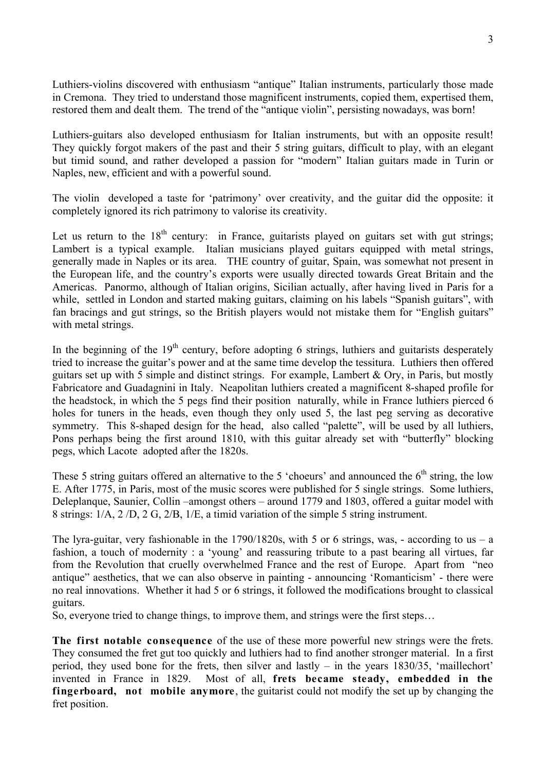Luthiers-violins discovered with enthusiasm "antique" Italian instruments, particularly those made in Cremona. They tried to understand those magnificent instruments, copied them, expertised them, restored them and dealt them. The trend of the "antique violin", persisting nowadays, was born!

Luthiers-guitars also developed enthusiasm for Italian instruments, but with an opposite result! They quickly forgot makers of the past and their 5 string guitars, difficult to play, with an elegant but timid sound, and rather developed a passion for "modern" Italian guitars made in Turin or Naples, new, efficient and with a powerful sound.

The violin developed a taste for 'patrimony' over creativity, and the guitar did the opposite: it completely ignored its rich patrimony to valorise its creativity.

Let us return to the  $18<sup>th</sup>$  century: in France, guitarists played on guitars set with gut strings; Lambert is a typical example. Italian musicians played guitars equipped with metal strings, generally made in Naples or its area. THE country of guitar, Spain, was somewhat not present in the European life, and the country's exports were usually directed towards Great Britain and the Americas. Panormo, although of Italian origins, Sicilian actually, after having lived in Paris for a while, settled in London and started making guitars, claiming on his labels "Spanish guitars", with fan bracings and gut strings, so the British players would not mistake them for "English guitars" with metal strings.

In the beginning of the  $19<sup>th</sup>$  century, before adopting 6 strings, luthiers and guitarists desperately tried to increase the guitar's power and at the same time develop the tessitura. Luthiers then offered guitars set up with 5 simple and distinct strings. For example, Lambert  $& Ory$ , in Paris, but mostly Fabricatore and Guadagnini in Italy. Neapolitan luthiers created a magnificent 8-shaped profile for the headstock, in which the 5 pegs find their position naturally, while in France luthiers pierced 6 holes for tuners in the heads, even though they only used 5, the last peg serving as decorative symmetry. This 8-shaped design for the head, also called "palette", will be used by all luthiers, Pons perhaps being the first around 1810, with this guitar already set with "butterfly" blocking pegs, which Lacote adopted after the 1820s.

These 5 string guitars offered an alternative to the 5 'choeurs' and announced the  $6<sup>th</sup>$  string, the low E. After 1775, in Paris, most of the music scores were published for 5 single strings. Some luthiers, Deleplanque, Saunier, Collin –amongst others – around 1779 and 1803, offered a guitar model with 8 strings: 1/A, 2 /D, 2 G, 2/B, 1/E, a timid variation of the simple 5 string instrument.

The lyra-guitar, very fashionable in the  $1790/1820s$ , with 5 or 6 strings, was, - according to us – a fashion, a touch of modernity : a 'young' and reassuring tribute to a past bearing all virtues, far from the Revolution that cruelly overwhelmed France and the rest of Europe. Apart from "neo antique" aesthetics, that we can also observe in painting - announcing 'Romanticism' - there were no real innovations. Whether it had 5 or 6 strings, it followed the modifications brought to classical guitars.

So, everyone tried to change things, to improve them, and strings were the first steps…

The first notable consequence of the use of these more powerful new strings were the frets. They consumed the fret gut too quickly and luthiers had to find another stronger material. In a first period, they used bone for the frets, then silver and lastly – in the years 1830/35, 'maillechort' invented in France in 1829. Most of all, **frets became steady, embedded in the fingerboard, not mobile anymore**, the guitarist could not modify the set up by changing the fret position.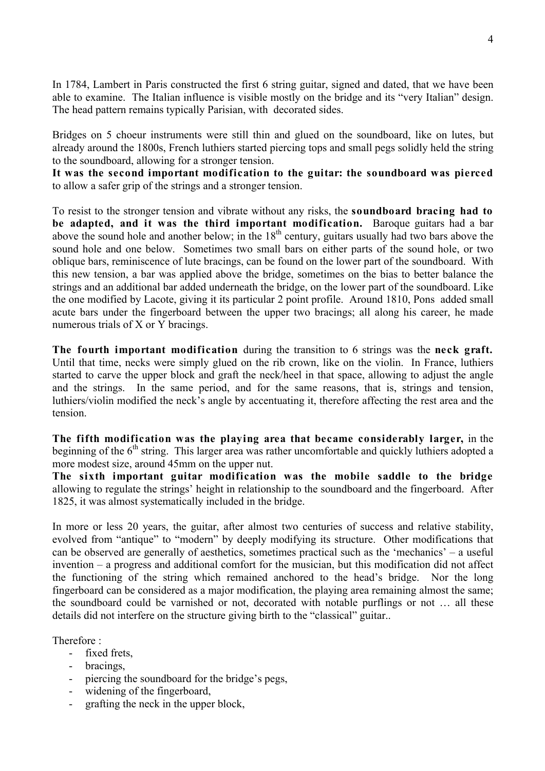In 1784, Lambert in Paris constructed the first 6 string guitar, signed and dated, that we have been able to examine. The Italian influence is visible mostly on the bridge and its "very Italian" design. The head pattern remains typically Parisian, with decorated sides.

Bridges on 5 choeur instruments were still thin and glued on the soundboard, like on lutes, but already around the 1800s, French luthiers started piercing tops and small pegs solidly held the string to the soundboard, allowing for a stronger tension.

**It was the second important modification to the guitar: the soundboard was pierced**  to allow a safer grip of the strings and a stronger tension.

To resist to the stronger tension and vibrate without any risks, the **soundboard bracing had to be adapted, and it was the third important modification.** Baroque guitars had a bar above the sound hole and another below; in the  $18<sup>th</sup>$  century, guitars usually had two bars above the sound hole and one below. Sometimes two small bars on either parts of the sound hole, or two oblique bars, reminiscence of lute bracings, can be found on the lower part of the soundboard. With this new tension, a bar was applied above the bridge, sometimes on the bias to better balance the strings and an additional bar added underneath the bridge, on the lower part of the soundboard. Like the one modified by Lacote, giving it its particular 2 point profile. Around 1810, Pons added small acute bars under the fingerboard between the upper two bracings; all along his career, he made numerous trials of X or Y bracings.

**The fourth important modification** during the transition to 6 strings was the **neck graft.**  Until that time, necks were simply glued on the rib crown, like on the violin. In France, luthiers started to carve the upper block and graft the neck/heel in that space, allowing to adjust the angle and the strings. In the same period, and for the same reasons, that is, strings and tension, luthiers/violin modified the neck's angle by accentuating it, therefore affecting the rest area and the tension.

**The fifth modification was the playing area that became considerably larger,** in the beginning of the  $6<sup>th</sup>$  string. This larger area was rather uncomfortable and quickly luthiers adopted a more modest size, around 45mm on the upper nut.

**The sixth important guitar modification was the mobile saddle to the bridge** allowing to regulate the strings' height in relationship to the soundboard and the fingerboard. After 1825, it was almost systematically included in the bridge.

In more or less 20 years, the guitar, after almost two centuries of success and relative stability, evolved from "antique" to "modern" by deeply modifying its structure. Other modifications that can be observed are generally of aesthetics, sometimes practical such as the 'mechanics' – a useful invention – a progress and additional comfort for the musician, but this modification did not affect the functioning of the string which remained anchored to the head's bridge. Nor the long fingerboard can be considered as a major modification, the playing area remaining almost the same; the soundboard could be varnished or not, decorated with notable purflings or not … all these details did not interfere on the structure giving birth to the "classical" guitar..

Therefore :

- fixed frets,
- bracings,
- piercing the soundboard for the bridge's pegs,
- widening of the fingerboard,
- grafting the neck in the upper block,